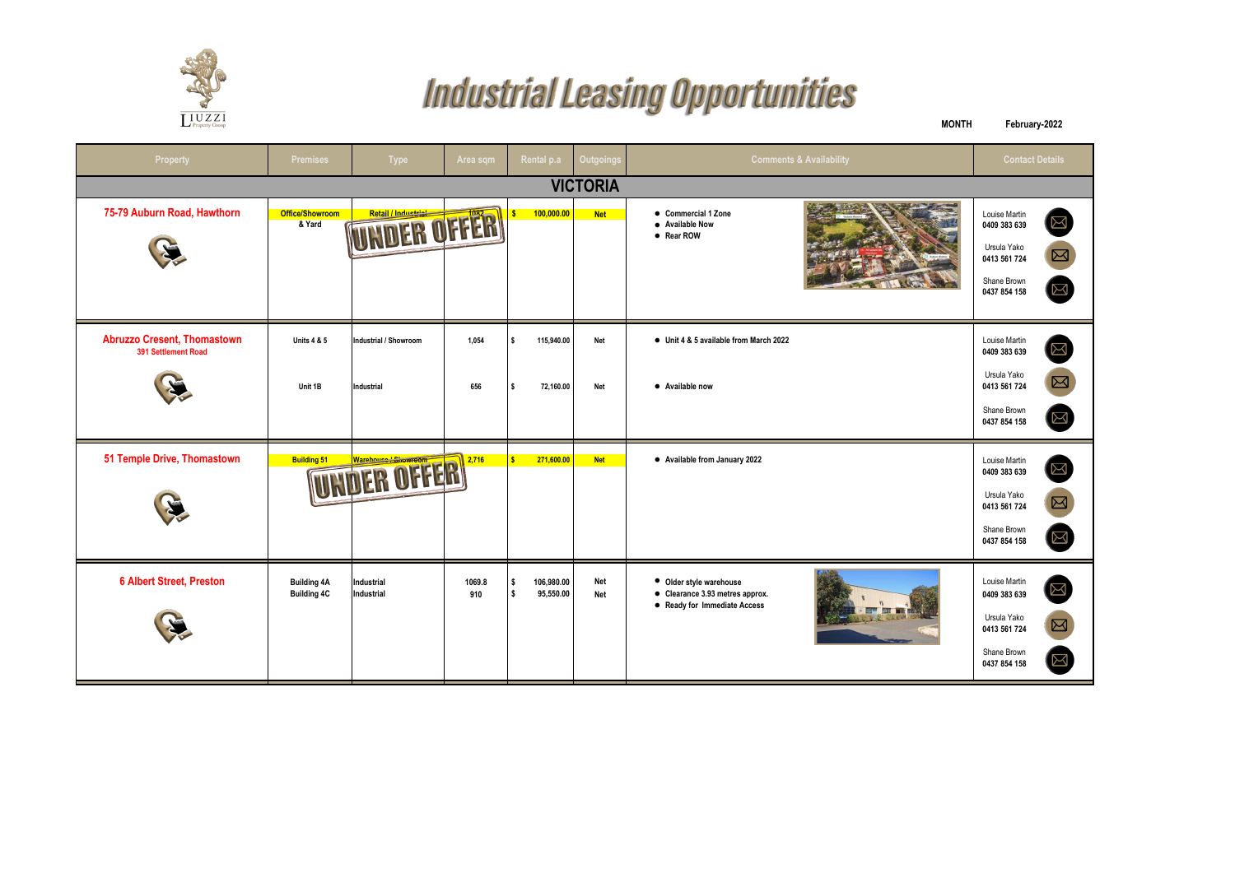

## **Industrial Leasing Opportunities**

| $L^{\mathrm{U}}$ Property Group                           |                                          |                          |               |                               |                          |                                                                                            | <b>MONTH</b> | February-2022                                                                               |                                             |  |  |  |
|-----------------------------------------------------------|------------------------------------------|--------------------------|---------------|-------------------------------|--------------------------|--------------------------------------------------------------------------------------------|--------------|---------------------------------------------------------------------------------------------|---------------------------------------------|--|--|--|
| Property                                                  | <b>Premises</b>                          | <b>Type</b>              | Area sqm      | Rental p.a                    | <b>Outgoings</b>         | <b>Comments &amp; Availability</b>                                                         |              | <b>Contact Details</b>                                                                      |                                             |  |  |  |
| <b>VICTORIA</b>                                           |                                          |                          |               |                               |                          |                                                                                            |              |                                                                                             |                                             |  |  |  |
| 75-79 Auburn Road, Hawthorn                               | <b>Office/Showroom</b><br>& Yard         | UNDER OFFER              |               | 100,000.00                    | <b>Net</b>               | • Commercial 1 Zone<br>• Available Now<br>• Rear ROW                                       |              | Louise Martin<br>0409 383 639<br>Ursula Yako<br>0413 561 724<br>Shane Brown<br>0437 854 158 | $\boxtimes$<br>$\boxed{2}$<br>$\boxtimes$   |  |  |  |
| <b>Abruzzo Cresent, Thomastown</b><br>391 Settlement Road | <b>Units 4 &amp; 5</b>                   | Industrial / Showroom    | 1,054         | 115,940.00                    | Net                      | • Unit 4 & 5 available from March 2022                                                     |              | Louise Martin<br>0409 383 639                                                               | $\boxtimes$                                 |  |  |  |
|                                                           | Unit 1B                                  | Industrial               | 656           | 72,160.00                     | Net                      | • Available now                                                                            |              | Ursula Yako<br>0413 561 724<br>Shane Brown<br>0437 854 158                                  | $\boxtimes$<br>$\boxtimes$                  |  |  |  |
| 51 Temple Drive, Thomastown                               | <b>Building 51</b>                       | UNDER OFFER              | 2,716         | 271,600.00<br>s               | <b>Net</b>               | • Available from January 2022                                                              |              | Louise Martin<br>0409 383 639<br>Ursula Yako<br>0413 561 724<br>Shane Brown<br>0437 854 158 | $\boxtimes$<br>$\boxed{\boxtimes}$<br>$\Xi$ |  |  |  |
| <b>6 Albert Street, Preston</b>                           | <b>Building 4A</b><br><b>Building 4C</b> | Industrial<br>Industrial | 1069.8<br>910 | 106,980.00<br>\$<br>95,550.00 | <b>Net</b><br><b>Net</b> | • Older style warehouse<br>• Clearance 3.93 metres approx.<br>• Ready for Immediate Access |              | Louise Martin<br>0409 383 639<br>Ursula Yako<br>0413 561 724<br>Shane Brown<br>0437 854 158 | $\mathbb{N}$<br>⊠<br>$\boxtimes$            |  |  |  |